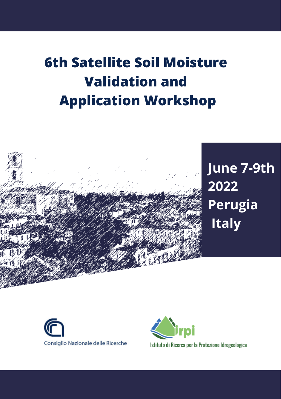# **6th Satellite Soil Moisture Validation and Application Workshop**



# **June 7-9th 2022 Perugia Italy**





Istituto di Ricerca per la Protezione Idrogeologica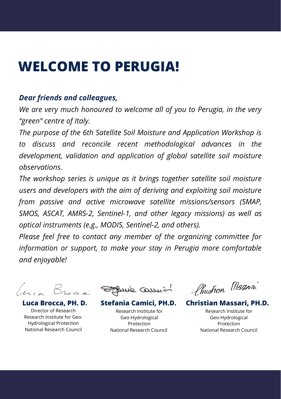# **WELCOME TO PERUGIA!**

### *Dear friends and colleagues,*

*We are very much honoured to welcome all of you to Perugia, in the very "green" centre of Italy.*

*The purpose of the 6th Satellite Soil Moisture and Application Workshop is to discuss and reconcile recent methodological advances in the development, validation and application of global satellite soil moisture observations.*

*The workshop series is unique as it brings together satellite soil moisture users and developers with the aim of deriving and exploiting soil moisture from passive and active microwave satellite missions/sensors (SMAP, SMOS, ASCAT, AMRS-2, Sentinel-1, and other legacy missions) as well as optical instruments (e.g., MODIS, Sentinel-2, and others).*

*Please feel free to contact any member of the organizing committee for information or support, to make your stay in Perugia more comfortable and enjoyable!*

Director of Research Research Institute for Geo-Hydrological Protection National Research Council

Stepnie Commiss

Research Institute for Geo-Hydrological Protection National Research Council

Chustion Masson

**Luca Brocca, PH. D. Stefania Camici, PH.D. Christian Massari, PH.D.**

Research Institute for Geo-Hydrological Protection National Research Council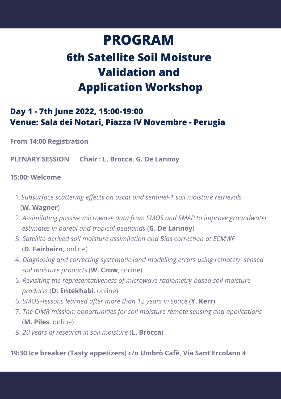# **PROGRAM 6th Satellite Soil Moisture Validation and Application Workshop**

## **Day 1 - 7th June 2022, 15:00-19:00 Venue: Sala dei Notari, Piazza IV Novembre - Perugia**

**From 14:00 Registration**

**PLENARY SESSION Chair : L. Brocca, G. De Lannoy**

#### **15:00: Welcome**

- *Subsurface scattering effects on ascat and sentinel-1 soil moisture retrievals* 1. (**W. Wagner**)
- 2. *Assimilating passive microwave data from SMOS and SMAP to improve groundwater estimates in boreal and tropical peatlands* (**G. De Lannoy**)
- 3. *Satellite-derived soil moisture assimilation and Bias correction at ECMWF* (**D. Fairbairn,** online)
- 4. *Diagnosing and correcting systematic land modelling errors using remotely sensed soil moisture products* (**W. Crow**, online)
- 5. *Revisiting the representativeness of microwave radiometry-based soil moisture products* (**D. Entekhabi**, online)
- 6. *SMOS–lessons learned after more than 12 years in space* (**Y. Kerr**)
- 7. *The CIMR mission: opportunities for soil moisture remote sensing and applications* (**M. Piles**, online)
- 8. *20 years of research in soil moisture* (**L. Brocca**)

#### **19:30 Ice breaker (Tasty appetizers) c/o Umbrò Cafè, Via Sant'Ercolano 4**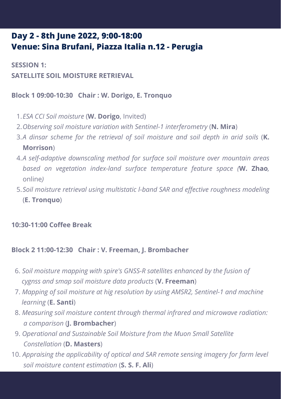## **Day 2 -8th June 2022, 9:00-18:00 Venue: Sina Brufani, Piazza Italia n.12 -Perugia**

**SESSION 1: SATELLITE SOIL MOISTURE RETRIEVAL**

**Block 1 09:00-10:30 Chair : W. Dorigo, E. Tronquo**

- *ESA CCI Soil moisture* (**W. Dorigo**, Invited) 1.
- *Observing soil moisture variation with Sentinel-1 interferometry* (**N. Mira**) 2.
- *A dinsar scheme for the retrieval of soil moisture and soil depth in arid soils* (**K.** 3. **Morrison**)
- *A self-adaptive downscaling method for surface soil moisture over mountain areas* 4. *based on vegetation index-land surface temperature feature space (***W. Zhao***,* online*)*
- *Soil moisture retrieval using multistatic l-band SAR and effective roughness modeling* 5. (**E. Tronquo**)

### **10:30-11:00 Coffee Break**

#### **Block 2 11:00-12:30 Chair : V. Freeman, J. Brombacher**

- 6. *Soil moisture mapping with spire's GNSS-R satellites enhanced by the fusion of cygnss and smap soil moisture data products* (**V. Freeman**)
- 7. *Mapping of soil moisture at hig resolution by using AMSR2, Sentinel-1 and machine learning* (**E. Santi**)
- 8. *Measuring soil moisture content through thermal infrared and microwave radiation: a comparison* (**J. Brombacher**)
- 9. *Operational and Sustainable Soil Moisture from the Muon Small Satellite Constellation* (**D. Masters**)
- 10. *Appraising the applicability of optical and SAR remote sensing imagery for farm level soil moisture content estimation* (**S. S. F. Ali**)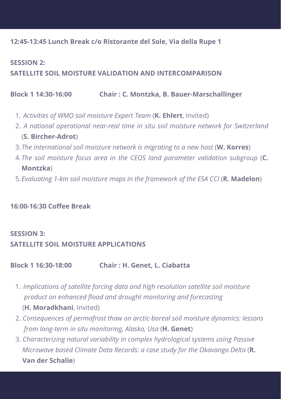#### **12:45-13:45 Lunch Break c/o Ristorante del Sole, Via della Rupe 1**

### **SESSION 2: SATELLITE SOIL MOISTURE VALIDATION AND INTERCOMPARISON**

#### **Block 1 14:30-16:00 Chair : C. Montzka, B. Bauer-Marschallinger**

- *Activities ofWMO soil moisture Expert Team* (**K. Ehlert**, Invited) 1.
- *A national operational near-real time in situ soil moisture network for Switzerland* 2. (**S. Bircher-Adrot**)
- *The international soil moisture network is migrating to a new host* (**W. Korres**) 3.
- *The soil moisture focus area in the CEOS land parameter validation subgroup* (**C.** 4. **Montzka**)
- *Evaluating 1-km soil moisture maps in the framework of the ESA CCI* (**R. Madelon**) 5.

#### **16:00-16:30 Coffee Break**

#### **SESSION 3:**

#### **SATELLITE SOIL MOISTURE APPLICATIONS**

**Block 1 16:30-18:00 Chair : H. Genet, L. Ciabatta**

- *Implications ofsatellite forcing data and high resolution satellite soil moisture* 1. *product on enhanced flood and drought monitoring and forecasting* (**H. Moradkhani**, Invited)
- 2. *Consequences ofpermafrost thaw onarctic-boreal soil moisture dynamics: lessons from long-term in situmonitoring, Alaska, Usa* (**H. Genet**)
- 3. *Characterizing natural variability in complex hydrological systems using Passive Microwave based Climate Data Records: a case study for the Okavango Delta* (**R. Van derSchalie**)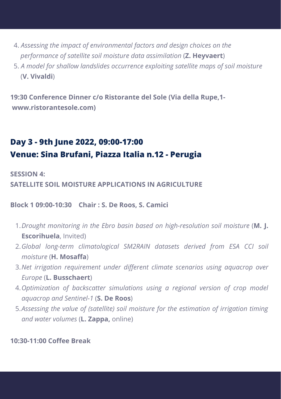- 4. *Assessing the impact of environmental factors and design choices on the performance of satellite soil moisture data assimilation* (**Z. Heyvaert**)
- 5. *A model for shallow landslides occurrence exploiting satellite maps of soil moisture* (**V. Vivaldi**)

**19:30 Conference Dinner c/o Ristorante del Sole (Via della Rupe,1 www.ristorantesole.com)**

# **Day 3 - 9th June 2022, 09:00-17:00 Venue: Sina Brufani, Piazza Italia n.12 - Perugia**

**SESSION 4:**

**SATELLITE SOIL MOISTURE APPLICATIONS IN AGRICULTURE**

**Block 1 09:00-10:30 Chair : S. De Roos, S. Camici**

- *Drought monitoring in the Ebro basin based on high-resolution soil moisture* (**M. J.** 1. **Escorihuela**, Invited)
- *Global long-term climatological SM2RAIN datasets derived from ESA CCI soil* 2. *moisture* (**H. Mosaffa**)
- *Net irrigation requirement under different climate scenarios using aquacrop over* 3. *Europe* (**L. Busschaert**)
- *Optimization of backscatter simulations using a regional version of crop model* 4. *aquacrop and Sentinel-1* (**S. De Roos**)
- *Assessing the value of (satellite) soil moisture for the estimation of irrigation timing* 5. *and water volumes* (**L. Zappa,** online)

**10:30-11:00 Coffee Break**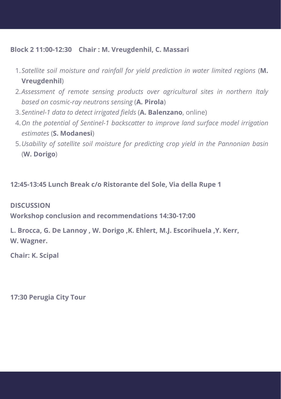#### **Block 2 11:00-12:30 Chair : M. Vreugdenhil, C. Massari**

- *Satellite soil moisture and rainfall for yield prediction in water limited regions* (**M.** 1. **Vreugdenhil**)
- *Assessment of remote sensing products over agricultural sites in northern Italy* 2. *based on cosmic-ray neutrons sensing* (**A. Pirola**)
- *Sentinel-1 data to detect irrigated fields* (**A. Balenzano**, online) 3.
- *On the potential of Sentinel-1 backscatter to improve land surface model irrigation* 4. *estimates* (**S. Modanesi**)
- *Usability of satellite soil moisture for predicting crop yield in the Pannonian basin* 5. (**W. Dorigo**)

#### **12:45-13:45 Lunch Break c/o Ristorante del Sole, Via della Rupe 1**

#### **DISCUSSION**

**Workshop conclusion and recommendations 14:30-17:00**

**L. Brocca, G. De Lannoy , W. Dorigo ,K. Ehlert, M.J. Escorihuela ,Y. Kerr, W. Wagner.**

**Chair: K. Scipal**

**17:30 Perugia City Tour**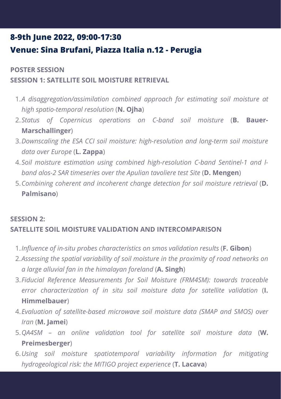# **8-9th June 2022, 09:00-17:30 Venue: Sina Brufani, Piazza Italia n.12 - Perugia**

## **POSTER SESSION SESSION 1: SATELLITE SOIL MOISTURE RETRIEVAL**

- *A disaggregation/assimilation combined approach for estimating soil moisture at* 1. *high spatio-temporal resolution* (**N. Ojha**)
- *Status of Copernicus operations on C-band soil moisture* (**B. Bauer-**2. **Marschallinger**)
- *Downscaling the ESA CCI soil moisture: high-resolution and long-term soil moisture* 3. *data over Europe* (**L. Zappa**)
- *Soil moisture estimation using combined high-resolution C-band Sentinel-1 and l-*4. *band alos-2 SAR timeseries over the Apulian tavoliere test Site* (**D. Mengen**)
- *Combining coherent and incoherent change detection for soil moisture retrieval* (**D.** 5. **Palmisano**)

#### **SESSION 2: SATELLITE SOIL MOISTURE VALIDATION AND INTERCOMPARISON**

- *Influence of in-situ probes characteristics on smos validation results* (**F. Gibon**) 1.
- *Assessing the spatial variability of soil moisture in the proximity of road networks on* 2. *a large alluvial fan in the himalayan foreland* (**A. Singh**)
- *Fiducial Reference Measurements for Soil Moisture (FRM4SM): towards traceable* 3. *error characterization of in situ soil moisture data for satellite validation* (**I. Himmelbauer**)
- *Evaluation of satellite-based microwave soil moisture data (SMAP and SMOS) over* 4. *Iran* (**M. Jamei**)
- *QA4SM – an online validation tool for satellite soil moisture data* (**W.** 5. **Preimesberger**)
- *Using soil moisture spatiotemporal variability information for mitigating* 6.*hydrogeological risk: the MITIGO project experience* (**T. Lacava**)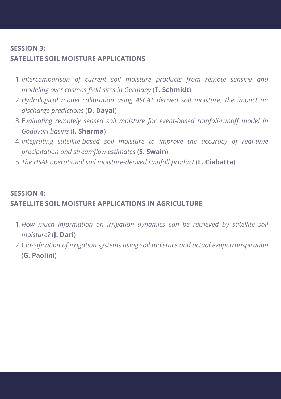#### **SESSION 3: SATELLITE SOIL MOISTURE APPLICATIONS**

- *Intercomparison of current soil moisture products from remote sensing and* 1. *modeling over cosmos field sites in Germany* (**T. Schmidt**)
- *Hydrological model calibration using ASCAT derived soil moisture: the impact on* 2. *discharge predictions* (**D. Dayal**)
- E*valuating remotely sensed soil moisture for event-based rainfall-runoff model in* 3. *Godavari basins* (**I. Sharma**)
- *Integrating satellite-based soil moisture to improve the accuracy of real-time* 4. *precipitation and streamflow estimates* (**S. Swain**)
- *The HSAF operational soil moisture-derived rainfall product* (**L. Ciabatta**) 5.

## **SESSION 4: SATELLITE SOIL MOISTURE APPLICATIONS IN AGRICULTURE**

- *H*o*w much information on irrigation dynamics can be retrieved by satellite soil* 1. *moisture?* (**J. Dari**)
- C*lassification of irrigation systems using soil moisture and actual evapotranspiration* 2.(**G. Paolini**)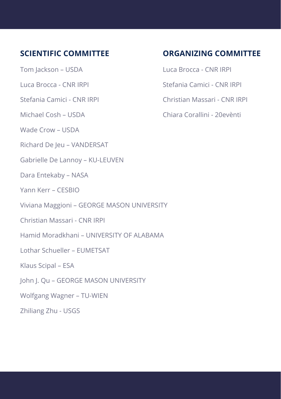## **SCIENTIFIC COMMITTEE**

Tom Jackson – USDA

Luca Brocca - CNR IRPI

Stefania Camici - CNR IRPI

Michael Cosh – USDA

Wade Crow – USDA

Richard De Jeu – VANDERSAT

Gabrielle De Lannoy – KU-LEUVEN

Dara Entekaby – NASA

Yann Kerr – CESBIO

Viviana Maggioni – GEORGE MASON UNIVERSITY

Christian Massari - CNR IRPI

Hamid Moradkhani – UNIVERSITY OF ALABAMA

Lothar Schueller – EUMETSAT

Klaus Scipal – ESA

John J. Qu – GEORGE MASON UNIVERSITY

Wolfgang Wagner – TU-WIEN

Zhiliang Zhu - USGS

### **ORGANIZING COMMITTEE**

Luca Brocca - CNR IRPI

Stefania Camici - CNR IRPI

Christian Massari - CNR IRPI

Chiara Corallini - 20evènti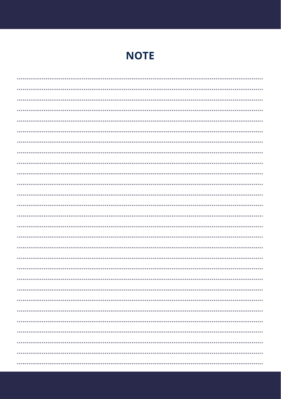# **NOTE**